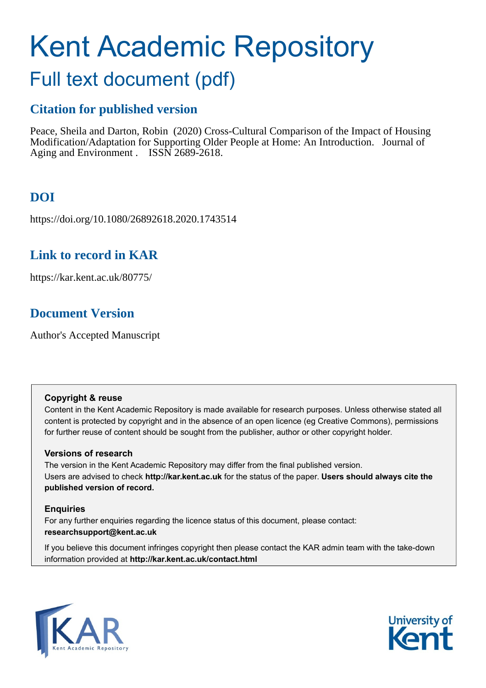# Kent Academic Repository

## Full text document (pdf)

## **Citation for published version**

Peace, Sheila and Darton, Robin (2020) Cross-Cultural Comparison of the Impact of Housing Modification/Adaptation for Supporting Older People at Home: An Introduction. Journal of Aging and Environment . ISSN 2689-2618.

## **DOI**

https://doi.org/10.1080/26892618.2020.1743514

### **Link to record in KAR**

https://kar.kent.ac.uk/80775/

## **Document Version**

Author's Accepted Manuscript

#### **Copyright & reuse**

Content in the Kent Academic Repository is made available for research purposes. Unless otherwise stated all content is protected by copyright and in the absence of an open licence (eg Creative Commons), permissions for further reuse of content should be sought from the publisher, author or other copyright holder.

#### **Versions of research**

The version in the Kent Academic Repository may differ from the final published version. Users are advised to check **http://kar.kent.ac.uk** for the status of the paper. **Users should always cite the published version of record.**

#### **Enquiries**

For any further enquiries regarding the licence status of this document, please contact: **researchsupport@kent.ac.uk**

If you believe this document infringes copyright then please contact the KAR admin team with the take-down information provided at **http://kar.kent.ac.uk/contact.html**



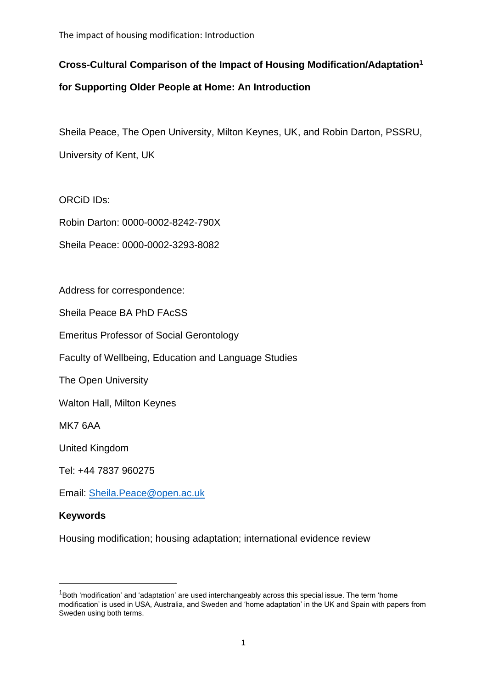The impact of housing modification: Introduction

#### **Cross-Cultural Comparison of the Impact of Housing Modification/Adaptation<sup>1</sup>**

#### **for Supporting Older People at Home: An Introduction**

Sheila Peace, The Open University, Milton Keynes, UK, and Robin Darton, PSSRU, University of Kent, UK

ORCiD IDs:

Robin Darton: 0000-0002-8242-790X

Sheila Peace: 0000-0002-3293-8082

Address for correspondence:

Sheila Peace BA PhD FAcSS

Emeritus Professor of Social Gerontology

Faculty of Wellbeing, Education and Language Studies

The Open University

Walton Hall, Milton Keynes

MK7 6AA

United Kingdom

Tel: +44 7837 960275

Email: [Sheila.Peace@open.ac.uk](mailto:Sheila.Peace@open.ac.uk)

#### **Keywords**

Housing modification; housing adaptation; international evidence review

 $1$ Both 'modification' and 'adaptation' are used interchangeably across this special issue. The term 'home modification' is used in USA, Australia, and Sweden and 'home adaptation' in the UK and Spain with papers from Sweden using both terms.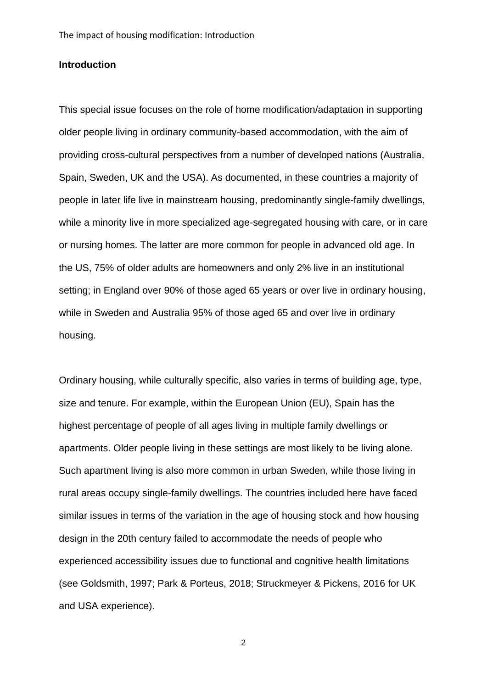#### **Introduction**

This special issue focuses on the role of home modification/adaptation in supporting older people living in ordinary community-based accommodation, with the aim of providing cross-cultural perspectives from a number of developed nations (Australia, Spain, Sweden, UK and the USA). As documented, in these countries a majority of people in later life live in mainstream housing, predominantly single-family dwellings, while a minority live in more specialized age-segregated housing with care, or in care or nursing homes. The latter are more common for people in advanced old age. In the US, 75% of older adults are homeowners and only 2% live in an institutional setting; in England over 90% of those aged 65 years or over live in ordinary housing, while in Sweden and Australia 95% of those aged 65 and over live in ordinary housing.

Ordinary housing, while culturally specific, also varies in terms of building age, type, size and tenure. For example, within the European Union (EU), Spain has the highest percentage of people of all ages living in multiple family dwellings or apartments. Older people living in these settings are most likely to be living alone. Such apartment living is also more common in urban Sweden, while those living in rural areas occupy single-family dwellings. The countries included here have faced similar issues in terms of the variation in the age of housing stock and how housing design in the 20th century failed to accommodate the needs of people who experienced accessibility issues due to functional and cognitive health limitations (see Goldsmith, 1997; Park & Porteus, 2018; Struckmeyer & Pickens, 2016 for UK and USA experience).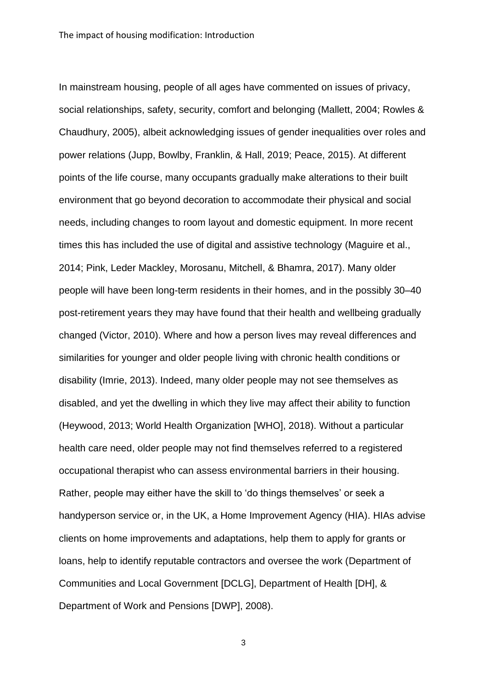In mainstream housing, people of all ages have commented on issues of privacy, social relationships, safety, security, comfort and belonging (Mallett, 2004; Rowles & Chaudhury, 2005), albeit acknowledging issues of gender inequalities over roles and power relations (Jupp, Bowlby, Franklin, & Hall, 2019; Peace, 2015). At different points of the life course, many occupants gradually make alterations to their built environment that go beyond decoration to accommodate their physical and social needs, including changes to room layout and domestic equipment. In more recent times this has included the use of digital and assistive technology (Maguire et al., 2014; Pink, Leder Mackley, Morosanu, Mitchell, & Bhamra, 2017). Many older people will have been long-term residents in their homes, and in the possibly 30–40 post-retirement years they may have found that their health and wellbeing gradually changed (Victor, 2010). Where and how a person lives may reveal differences and similarities for younger and older people living with chronic health conditions or disability (Imrie, 2013). Indeed, many older people may not see themselves as disabled, and yet the dwelling in which they live may affect their ability to function (Heywood, 2013; World Health Organization [WHO], 2018). Without a particular health care need, older people may not find themselves referred to a registered occupational therapist who can assess environmental barriers in their housing. Rather, people may either have the skill to 'do things themselves' or seek a handyperson service or, in the UK, a Home Improvement Agency (HIA). HIAs advise clients on home improvements and adaptations, help them to apply for grants or loans, help to identify reputable contractors and oversee the work (Department of Communities and Local Government [DCLG], Department of Health [DH], & Department of Work and Pensions [DWP], 2008).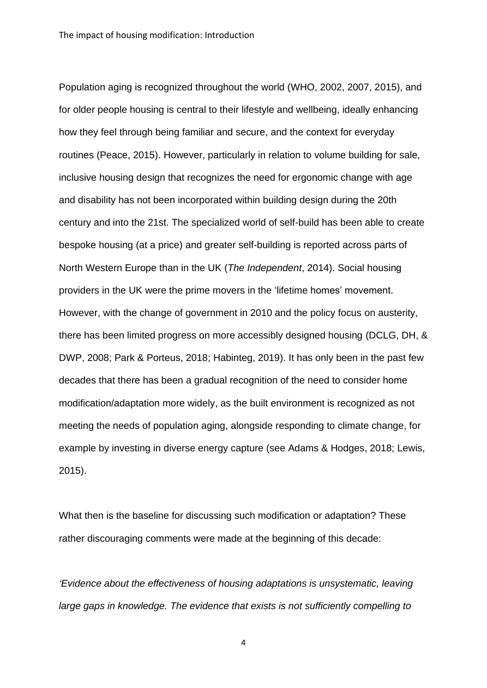Population aging is recognized throughout the world (WHO, 2002, 2007, 2015), and for older people housing is central to their lifestyle and wellbeing, ideally enhancing how they feel through being familiar and secure, and the context for everyday routines (Peace, 2015). However, particularly in relation to volume building for sale, inclusive housing design that recognizes the need for ergonomic change with age and disability has not been incorporated within building design during the 20th century and into the 21st. The specialized world of self-build has been able to create bespoke housing (at a price) and greater self-building is reported across parts of North Western Europe than in the UK (*The Independent*, 2014). Social housing providers in the UK were the prime movers in the 'lifetime homes' movement. However, with the change of government in 2010 and the policy focus on austerity, there has been limited progress on more accessibly designed housing (DCLG, DH, & DWP, 2008; Park & Porteus, 2018; Habinteg, 2019). It has only been in the past few decades that there has been a gradual recognition of the need to consider home modification/adaptation more widely, as the built environment is recognized as not meeting the needs of population aging, alongside responding to climate change, for example by investing in diverse energy capture (see Adams & Hodges, 2018; Lewis, 2015).

What then is the baseline for discussing such modification or adaptation? These rather discouraging comments were made at the beginning of this decade:

*'Evidence about the effectiveness of housing adaptations is unsystematic, leaving large gaps in knowledge. The evidence that exists is not sufficiently compelling to*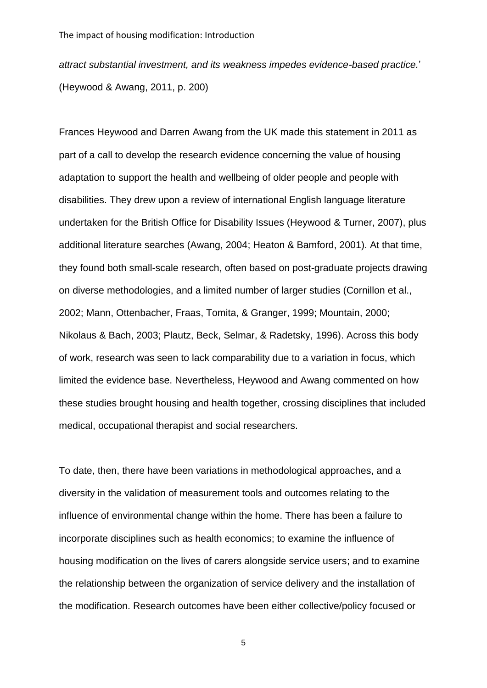*attract substantial investment, and its weakness impedes evidence-based practice.*' (Heywood & Awang, 2011, p. 200)

Frances Heywood and Darren Awang from the UK made this statement in 2011 as part of a call to develop the research evidence concerning the value of housing adaptation to support the health and wellbeing of older people and people with disabilities. They drew upon a review of international English language literature undertaken for the British Office for Disability Issues (Heywood & Turner, 2007), plus additional literature searches (Awang, 2004; Heaton & Bamford, 2001). At that time, they found both small-scale research, often based on post-graduate projects drawing on diverse methodologies, and a limited number of larger studies (Cornillon et al., 2002; Mann, Ottenbacher, Fraas, Tomita, & Granger, 1999; Mountain, 2000; Nikolaus & Bach, 2003; Plautz, Beck, Selmar, & Radetsky, 1996). Across this body of work, research was seen to lack comparability due to a variation in focus, which limited the evidence base. Nevertheless, Heywood and Awang commented on how these studies brought housing and health together, crossing disciplines that included medical, occupational therapist and social researchers.

To date, then, there have been variations in methodological approaches, and a diversity in the validation of measurement tools and outcomes relating to the influence of environmental change within the home. There has been a failure to incorporate disciplines such as health economics; to examine the influence of housing modification on the lives of carers alongside service users; and to examine the relationship between the organization of service delivery and the installation of the modification. Research outcomes have been either collective/policy focused or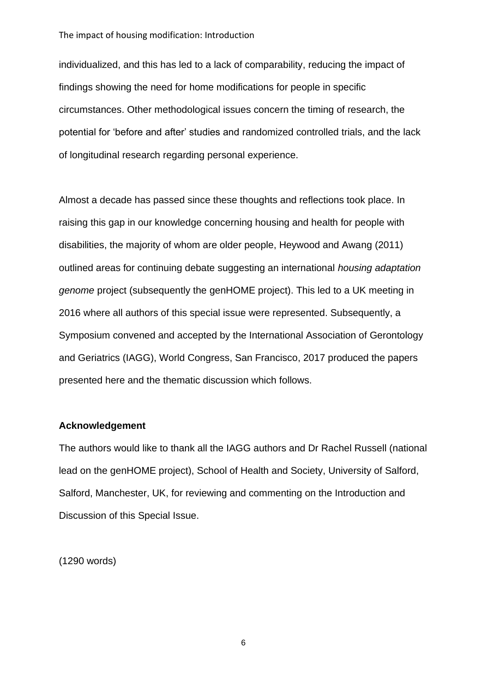#### The impact of housing modification: Introduction

individualized, and this has led to a lack of comparability, reducing the impact of findings showing the need for home modifications for people in specific circumstances. Other methodological issues concern the timing of research, the potential for 'before and after' studies and randomized controlled trials, and the lack of longitudinal research regarding personal experience.

Almost a decade has passed since these thoughts and reflections took place. In raising this gap in our knowledge concerning housing and health for people with disabilities, the majority of whom are older people, Heywood and Awang (2011) outlined areas for continuing debate suggesting an international *housing adaptation genome* project (subsequently the genHOME project). This led to a UK meeting in 2016 where all authors of this special issue were represented. Subsequently, a Symposium convened and accepted by the International Association of Gerontology and Geriatrics (IAGG), World Congress, San Francisco, 2017 produced the papers presented here and the thematic discussion which follows.

#### **Acknowledgement**

The authors would like to thank all the IAGG authors and Dr Rachel Russell (national lead on the genHOME project), School of Health and Society, University of Salford, Salford, Manchester, UK, for reviewing and commenting on the Introduction and Discussion of this Special Issue.

(1290 words)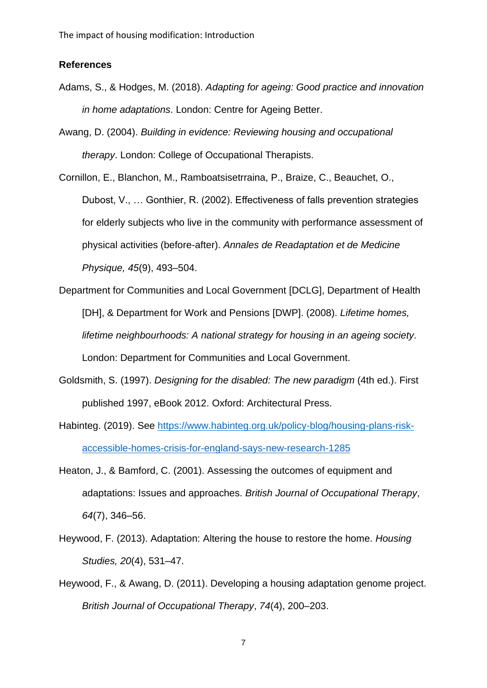#### **References**

- Adams, S., & Hodges, M. (2018). *Adapting for ageing: Good practice and innovation in home adaptations*. London: Centre for Ageing Better.
- Awang, D. (2004). *Building in evidence: Reviewing housing and occupational therapy*. London: College of Occupational Therapists.

Cornillon, E., Blanchon, M., Ramboatsisetrraina, P., Braize, C., Beauchet, O., Dubost, V., … Gonthier, R. (2002). Effectiveness of falls prevention strategies for elderly subjects who live in the community with performance assessment of physical activities (before-after). *Annales de Readaptation et de Medicine Physique, 45*(9), 493–504.

- Department for Communities and Local Government [DCLG], Department of Health [DH], & Department for Work and Pensions [DWP]. (2008). *Lifetime homes, lifetime neighbourhoods: A national strategy for housing in an ageing society*. London: Department for Communities and Local Government.
- Goldsmith, S. (1997). *Designing for the disabled: The new paradigm* (4th ed.). First published 1997, eBook 2012. Oxford: Architectural Press.
- Habinteg. (2019). See [https://www.habinteg.org.uk/policy-blog/housing-plans-risk](https://www.habinteg.org.uk/policy-blog/housing-plans-risk-accessible-homes-crisis-for-england-says-new-research-1285)[accessible-homes-crisis-for-england-says-new-research-1285](https://www.habinteg.org.uk/policy-blog/housing-plans-risk-accessible-homes-crisis-for-england-says-new-research-1285)
- Heaton, J., & Bamford, C. (2001). Assessing the outcomes of equipment and adaptations: Issues and approaches. *British Journal of Occupational Therapy*, *64*(7), 346–56.
- Heywood, F. (2013). Adaptation: Altering the house to restore the home. *Housing Studies, 20*(4), 531–47.
- Heywood, F., & Awang, D. (2011). Developing a housing adaptation genome project. *British Journal of Occupational Therapy*, *74*(4), 200–203.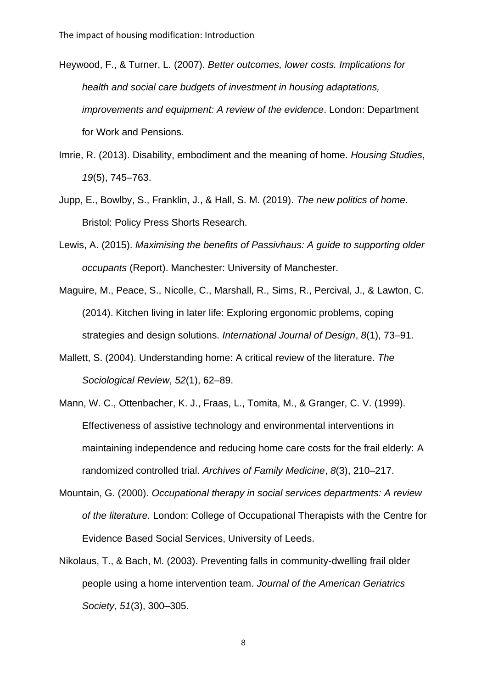Heywood, F., & Turner, L. (2007). *Better outcomes, lower costs. Implications for health and social care budgets of investment in housing adaptations, improvements and equipment: A review of the evidence*. London: Department for Work and Pensions.

- Imrie, R. (2013). Disability, embodiment and the meaning of home. *Housing Studies*, *19*(5), 745–763.
- Jupp, E., Bowlby, S., Franklin, J., & Hall, S. M. (2019). *The new politics of home*. Bristol: Policy Press Shorts Research.
- Lewis, A. (2015). *Maximising the benefits of Passivhaus: A guide to supporting older occupants* (Report). Manchester: University of Manchester.
- Maguire, M., Peace, S., Nicolle, C., Marshall, R., Sims, R., Percival, J., & Lawton, C. (2014). Kitchen living in later life: Exploring ergonomic problems, coping strategies and design solutions. *International Journal of Design*, *8*(1), 73–91.
- Mallett, S. (2004). Understanding home: A critical review of the literature. *The Sociological Review*, *52*(1), 62–89.
- Mann, W. C., Ottenbacher, K. J., Fraas, L., Tomita, M., & Granger, C. V. (1999). Effectiveness of assistive technology and environmental interventions in maintaining independence and reducing home care costs for the frail elderly: A randomized controlled trial. *Archives of Family Medicine*, *8*(3), 210–217.
- Mountain, G. (2000). *Occupational therapy in social services departments: A review of the literature.* London: College of Occupational Therapists with the Centre for Evidence Based Social Services, University of Leeds.
- Nikolaus, T., & Bach, M. (2003). Preventing falls in community-dwelling frail older people using a home intervention team. *Journal of the American Geriatrics Society*, *51*(3), 300–305.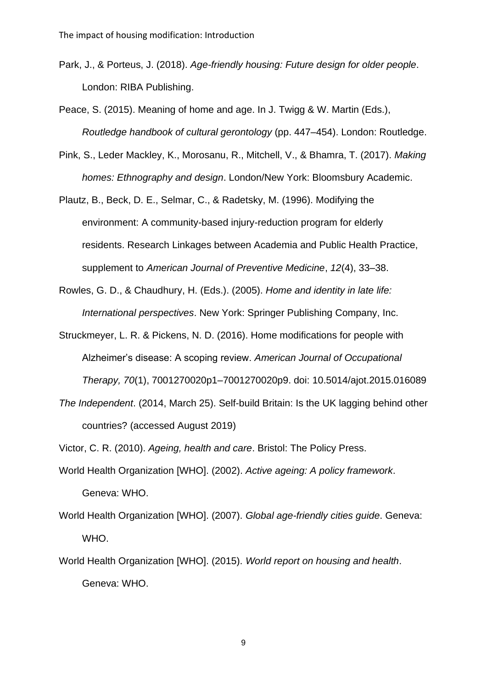- Park, J., & Porteus, J. (2018). *Age-friendly housing: Future design for older people*. London: RIBA Publishing.
- Peace, S. (2015). Meaning of home and age. In J. Twigg & W. Martin (Eds.), *Routledge handbook of cultural gerontology* (pp. 447–454). London: Routledge.
- Pink, S., Leder Mackley, K., Morosanu, R., Mitchell, V., & Bhamra, T. (2017). *Making homes: Ethnography and design*. London/New York: Bloomsbury Academic.

Plautz, B., Beck, D. E., Selmar, C., & Radetsky, M. (1996). Modifying the environment: A community-based injury-reduction program for elderly residents. Research Linkages between Academia and Public Health Practice, supplement to *American Journal of Preventive Medicine*, *12*(4), 33–38.

- Rowles, G. D., & Chaudhury, H. (Eds.). (2005). *Home and identity in late life: International perspectives*. New York: Springer Publishing Company, Inc.
- Struckmeyer, L. R. & Pickens, N. D. (2016). Home modifications for people with Alzheimer's disease: A scoping review. *American Journal of Occupational Therapy, 70*(1), 7001270020p1–7001270020p9. doi: 10.5014/ajot.2015.016089
- *The Independent*. (2014, March 25). Self-build Britain: Is the UK lagging behind other countries? (accessed August 2019)

Victor, C. R. (2010). *Ageing, health and care*. Bristol: The Policy Press.

- World Health Organization [WHO]. (2002). *Active ageing: A policy framework*. Geneva: WHO.
- World Health Organization [WHO]. (2007). *Global age-friendly cities guide*. Geneva: WHO.
- World Health Organization [WHO]. (2015). *World report on housing and health*. Geneva: WHO.